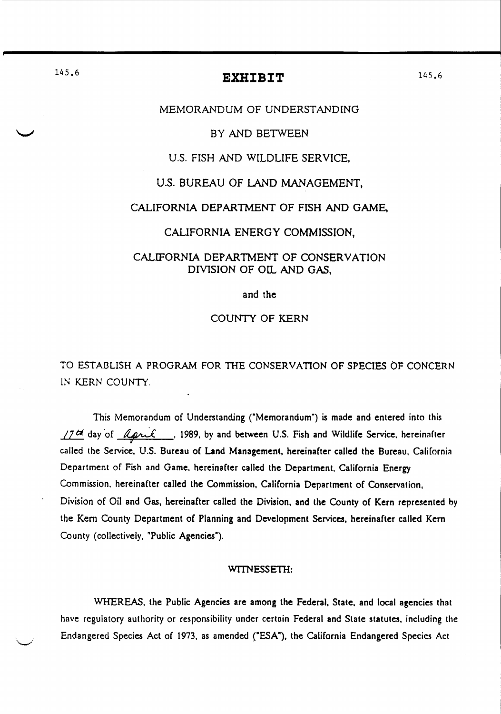# 145.6 **EXHIBIT**

#### MEMORANDUM OF UNDERSTANDING

#### BY AND BETWEEN

## U.s. FISH AND WILDLIFE SERVICE,

# u.S. BUREAU OF LAND MANAGEMENT,

#### CALIFORNIA DEPARTMENT OF FISH AND GAME,

# CALIFORNIA ENERGY COMMISSION,

# CALIFORNIA DEPARTMENT OF CONSERVATION DIVlSION OF OIL AND GAS,

and the

# COUNTY OF KERN

TO ESTABLISH A PROGRAM FOR TIIE CONSERVATION OF SPECIES OF CONCERN IN KERN COUNTY.

This Memorandum of Understanding ("Memorandum") is made and entered into this 17th day of <u>April</u>, 1989, by and between U.S. Fish and Wildlife Service, hereinafter called the Service, U.S. Bureau of Land Management, hereinafter called the Bureau, California Department of Fish and Game. hereinafter called the Department. California Energy Commission. hereinafter called the Commission. California Department of Conservation. Division of Oil and Gas, hereinafter called the Division. and the County of Kern represented hy the Kern County Department of Planning and Development Services, hereinafter called Kern County (collectively, "Public Agencies").

#### WITNESSETH:

WHEREAS, the Public Agencies are among the Federal, State, and local agencies that have regulatory authority or responsibility under certain Federal and Slate statutes. including the Endangered Species Act of 1973, as amended ("ESA"), the California Endangered Species Act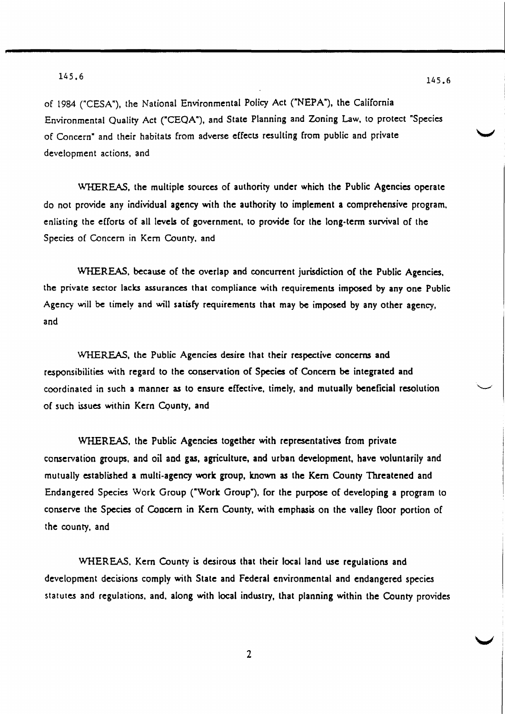of 1984 ("CESA"), the National Environmental Policy Act ("NEPA"), the California Environmental Quality Act ("CEQA"), and State Planning and Zoning Law. to protect "Species of Concern" and their habitats from adverse effects resulting from public and private development actions, and

WHEREAS, the multiple sources of authority under which the Public Agencies operate do not provide any individual agency with the authority to implement a comprehensive program. enlisting the efforts of all levels of government, to provide for the long-term survival of the Species of Concern in Kern County. and

WHEREAS. because of the overlap and concurrent jurisdiction of the Public Agencies. the private sector lacks assurances that compliance with requirements imposed by anyone Public Agency will be timely and will satisfy requirements that may be imposed by any other agency, and

WHEREAS, the Public Agencies desire that their respective concerns and responsibilities with regard to the conservation of Species of Concern be integrated and coordinated in such a manner as to ensure effective. timely, and mutually beneficial resolution of such issues within Kern Cqunty, and

WHEREAS, the Public Agencies together with representatives from private conservation groups, and oil and gas, agriculture, and urban development, have voluntarily and mutually established a multi-agency work group, known as the Kern County Threatened and Endangered Species Work Group ("Work Group"), for the purpose of developing a program to conserve the Species of Concern in Kern County, with emphasis on the valley floor portion of the county. and

WHEREAS. Kern County is desirous that their local land use regulations and development decisions comply with State and Federal environmental and endangered species statutes and regulations. and. along with local industry, that planning within the County provides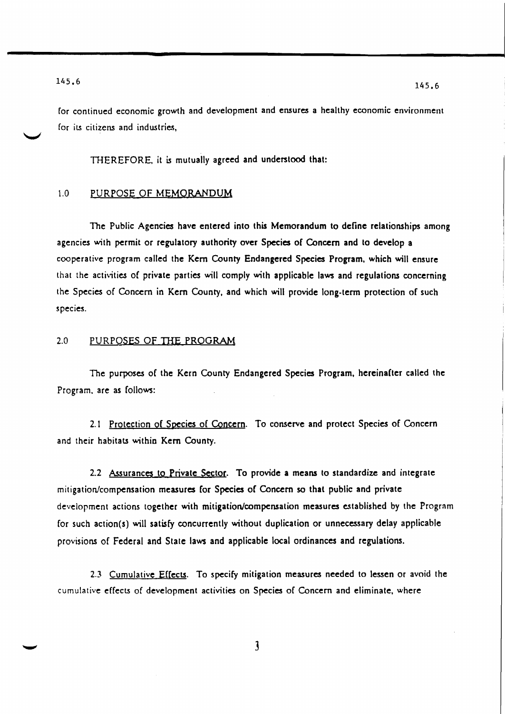for continued economic growth and development and ensures a healthy economic environment for its citizens and industries,

THEREFORE, it is mutually agreed and understood that:

## 1.0 PURPOSE OF MEMORANDUM

The Public Agencies have entered into this Memorandum to define relationships among agencies with permit or regulatory authority over Species of Concern and to develop a cooperative program called the Kern County Endangered Species Program. which will ensure that the activities of private parties will comply with applicable laws and regulations concerning the Species of Concern in Kern County, and which will provide long-term protection of such species.

#### 2.0 PURPOSES OF THE PROGRAM

The purposes of the Kern County Endangered Species Program. hereinafter called the Program. are as follows:

2.1 Protection of Species of Concern. To conserve and protect Species of Concern and their habitats within Kern County.

2.2 Assurances to Private Sector. To provide a means to standardize and integrate mitigation/compensation measures for Species of Concern 50 that public and private development actions together with mitigation/compensation measures established by the Program for such action(s) will satisfy concurrently without duplication or unnecessary delay applicable provisions of Federal and State laws and applicable local ordinances and regulations.

2.3 Cumulative Effects. To specify mitigation measures needed to lessen or avoid the cumulative effects of development activities on Species of Concern and eliminate. where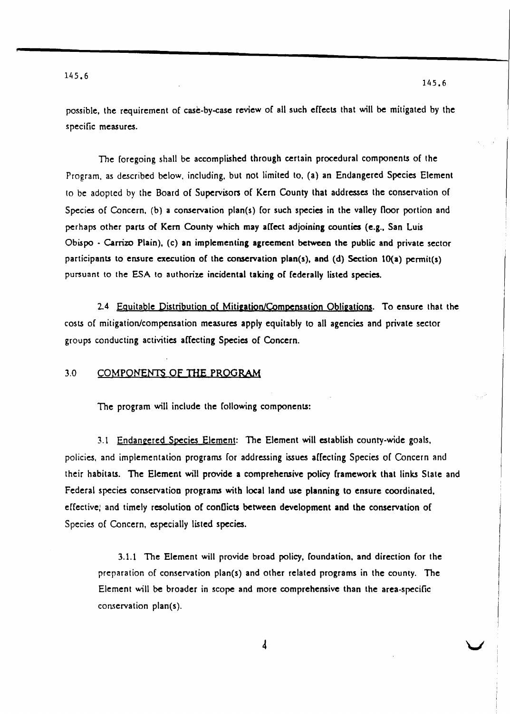v

possible, the requirement of case-by-case review of all such effects that will be mitigated by the specific measures.

The foregoing shall be accomplished through certain procedural components of the Program. as described below, including. but not limited to. (a) an Endangered Species Element to be adopted by the Board of Supervison of Kern County that addresses the conservation of Species of Concern. (b) a conservation plan(s) for such species in the valley floor portion and perhaps other parts of Kern County which may affect adjoining counties (e.g., San Luis Obispo - Carrizo Plain). (c) an implementing agreement between the public and private sector participants to ensure execution of the conservation plan(s), and (d) Section 10(a) permit(s) pursuant to the ESA to authorize incidental taking of federally listed species.

2.4 Equitable Distribution of Mitigation/Compensation Obligations. To ensure that the costs of mitigation/compensation measures apply equitably to all agencies and private sector groups conducting activities affecting Species of Concern.

### 3.0 COMPONENTS OF THE PROGRAM

The program will include the following components:

3.1 Endangered Species Element: The Element will establish county-wide goals. policies, and implementation programs for addressing issues affecting Species of Concern and their habitats. The Element will provide a comprehensive policy framework that links Slate and Federal species conservation programs with local land use planning to ensure coordinated. effective; and timely resolution of conflicts between development and the conservation o( Species of Concern, especially listed species.

3.1.1 The Element will provide broad policy, foundation, and direction (or the preparation of conservation plan(s) and other related programs in the county. The Element will be broader in scope and more comprehensive than the area-specific conservation plan(s).

 $\overline{4}$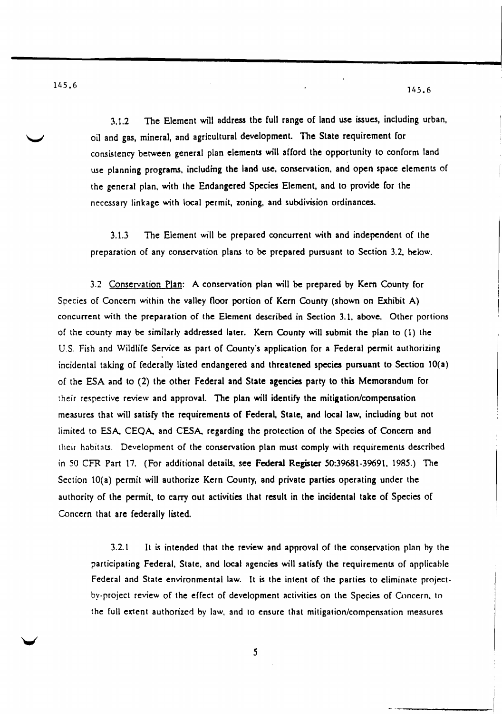i I

i ---------'1

3.1.2 The Element will address the full range of land use issues, including urban, oil and gss, mineral, and agricultural development. The State requirement for consistency between general plan elements will afford the opportunity to conform land use planning programs. including the land use, conservation. and open space elements of the general plan. with the Endangered Species Element, and to provide for the necessary linkage with local permit, zoning. and subdivision ordinances.

3.1.3 The Element will be prepared concurrent with and independent of the preparation of any conservation plans to be prepared pursuant to Section 3.2, below.

3.2 Conservation Plan: A conservation plan will be prepared by Kern County [or Species of Concern within the valley floor portion of Kern County (shown on Exhibit A) concurrent with the preparation of the Element described in Section 3.1, above. Other portions of the county may be similarly addressed later. Kern County will submit the plan to (1) the U.S. Fish and Wildlife Service as part of County's application for a Federal permit authorizing incidental taking of federally listed endangered and threatened species pursuant to Section lO(a) of the ESA and to (2) the other Federal and State agencies party to this Memorandum for their respective review and approval. The plan will identify the mitigation/compensation measures that will satisfy the requirements of Federal, State, and local law, including but not limited to ESA, CEQA, and CESA, regarding the protection of the Species of Concern and their habitats. Development of the conservation plan must comply with requirements descrihed in 50 CFR Part 17. (For additional details. see Federal Register 50:39681-39691. 1985.) The Section 10(a) permit will authorize Kern County, and private parties operating under the authority of the permit, to carry out activities that result in the incidental take of Species of Concern that are federally listed.

3.2.1 It is intended that the review and approval of the conservation plan by the participating Federal. State, and local agencies will satisfy the requirements of applicahle Federal and State environmental law. It is the intent of the parties to eliminate projectby-project review of the effect of development activities on the Species of Concern, to the full extent authorized by law, and to ensure that mitigation/compensation measures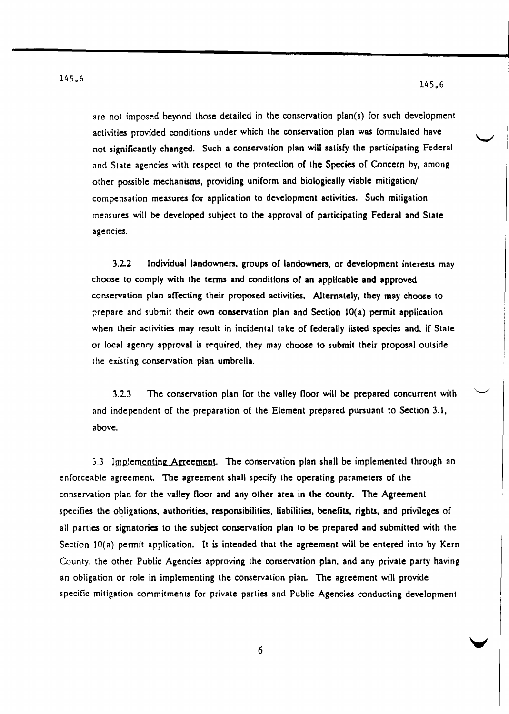are not imposed beyond those detailed in the conservation plan(s) for such development activities provided conditions under which the conservation plan was formulated have not significantly changed. Such a conservation plan will satisfy the participating Federal and State agencies with respect to the protection of the Species of Concern by, among other possible mechanisms, providing uniform and biologically viable mitigation/ compensation measures for application to development activities. Such mitigation measures will be developed subject to the approval of participating Federal and State agencies.

3.2.2 Individual landowners. groups of landowners. or development interests may choose to comply with the terms and conditions of an applicable and approved conservation plan affecting their proposed activities. Alternately, they may choose to prepare and submit their own conservation plan and Section 10(a) permit application when their activities may result in incidental take of federally listed species and, if State or local agency approval is required. they may choose to submit their proposal outside the existing conservation plan umbrella.

3.2.3 The conservation plan for the valley floor will be prepared concurrent with and independent of the preparation of the Element prepared pursuant to Section 3.1, above.

3.3 Implementing Agreement. The conservation plan shall be implemented through an enforceable agreement The agreement shall specify the operating parameters of the conservation plan for the valley floor and any other area in the county. The Agreement specifies the obligations, authorities, responsibilities, liabilities, benefits, rights, and privileges of all parties or signatories to the subject conservation plan to be prepared and submitted with the Section 10(a) permit application. It is intended that the agreement will be entered into by Kern County. the other Public Agencies approving the conservation plan. and any private party having an obligation or role in implementing the conservation plan. The agreement will provide specific mitigation commitments for private parties and Public Agencies conducting development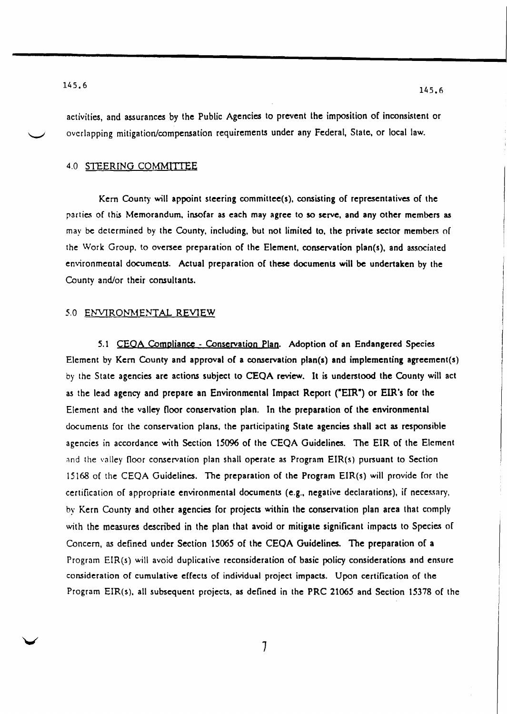activities, and assurances by the Public Agencies to prevent the imposition of inconsistent or overlapping mitigation/compensation requirements under any Federal, State, or local law.

#### 4.0 STEERING COMMfITEE

Kern County will appoint steering committee(s), consisting of representatives of the parties of this Memorandum, insofar as each may agree to so serve, and any other members as may be determined by the County, including, but not limited to, the private sector members of the Work Group, to oversee preparation of the Element, conservation plan(s), and associated environmental documents. Actual preparation of these documents will be undertaken by the County and/or their consultants.

#### *5.0* ENVIRONMENTAL REVIEW

5.1 CEOA Compliance - Conservation Plan. Adoption of an Endangered Species Element by Kern County and approval of a conservation plan(s) and implementing agreement(s) by the State agencies are actions subject to CEQA review. It is understood the County will act as the lead agency and prepare an Environmental Impact Report ("EIR") or EIR's for the Element and the valley floor conservation plan. In the preparation of the environmental documents for the conservation plans, the participating State agencies shall act as responsible agencies in accordance with Section 15096 of the CEQA Guidelines. The EIR of the Element and the valley floor conservation plan shall operate as Program EIR(s) pursuant to Section 15168 of the CEQA Guidelines. The preparation of the Program EIR(s) will provide for the certification of appropriate environmental documents (e.g., negative declarations). if necessary, by Kern County and other agencies for projects within the conservation plan area that comply with the measures described in the plan that avoid or mitigate significant impacts to Species of Concern, as defined under Section 15065 of the CEQA Guidelines. The preparation of a Program EIR(s) will avoid duplicative reconsideration of basic policy considerations and ensure consideration of cumulative effects of individual project impacts. Upon certification of the Program EIR(s), all subsequent projects, as defined in the PRC 21065 and Section 15378 of the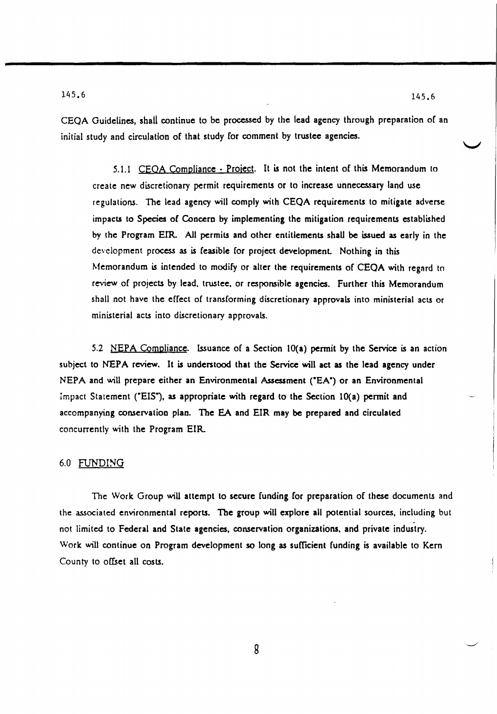CEQA Guidelines, shall continue to be processed by the lead agency through preparation of an initial study and circulation of that study for comment by trustee agencies.

5.1.1 CEQA Compliance - Project. It is not the intent of this Memorandum to create new discretionary permit requirements or to increase unnecessary land use regulations. The lead agency will comply with CEQA requirements to mitigate adverse impacts to Species of Concern by implementing the mitigation requirements established by the Program ErR. All permits and other entitlements shaU be issued as early in the development process as is feasible for project development. Nothing in this Memorandum is intended to modify or alter the requirements of CEQA with regnrd to review of projects by lead, trustee, or responsible agencies. Further this Memorandum shall not have the effect of transforming discretionary approvals into ministerial acts or ministerial acts into discretionary approvals.

5.2 NEPA Compliance. Issuance of a Section  $10(a)$  permit by the Service is an action subject to NEPA review. It is understood that the Service will act as the lead agency under NEPA and will prepare either an Environmental Assessment ("EA") or an Environmental Impact Statement ("EIS"), as appropriate with regard to the Section 10(a) permit and accompanying conservation plan. The EA and EIR may be prepared and circulated concurrently with the Program EIR.

#### 6.0 FUNDING

The Work Group wiU attempt to secure funding for preparation of these documents and the associated environmental reports. The group will explore all potential sources, including but not limited to Federal and State agencies. conservation organizations. and private industry. Work will continue on Program development so long as sufficient funding is available to Kern County to offset all costs.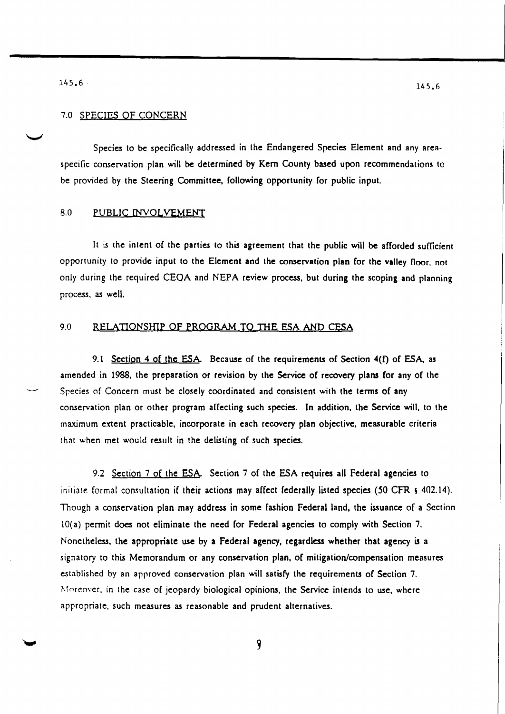## 7.0 SPECIES OF CONCERN

Species to be specifically addressed in the Endangered Species Element and any areaspecific conservation plan will be determined by Kern County based upon recommendations to be provided by the Steering Committee. following opportunity for public input.

#### 8.0 PUBLIC INVOLVEMENT

It is the intent of the parties to this agreement that the public will be afforded sufficient opportunity to provide input to the Element and the conservation plan for the valley floor. not only during the required CEQA and NEPA review process. but during the scoping and planning process. as well.

# 9.0 RELATIONSHIP OF PROGRAM TO THE ESA AND CESA

9.1 Section 4 of the ESA. Because of the requirements of Section  $4(f)$  of ESA, as amended in 1988. the preparation or revision by the Service of recovery plans for any of the Species of Concern must be closely coordinated and consistent with the terms of any conservation plan or other program affecting such species. In addition. the Service will. to the maximum extent practicable, incorporate in each recovery plan objective, measurable criteria that when met would result in the delisting of such species.

9.2 Section 7 of the ESA. Section 7 of the ESA requires all Federal agencies to initiate formal consultation if their actions may affect federally listed species (50 CFR ; 402.14). Though a conservation plan may address in some fashion Federal land. the issuance of a Section lO(a) permit does not eliminate the need for Federal agencies to comply with Section 7. Nonetheless. the appropriate use by a Federal agency. regardless whether that agency is a signatory to this Memorandum or any conservation plan, of mitigation/compensation measures established by an approved conservation plan will satisfy the requirements of Section 7. Moreover, in the case of jeopardy biological opinions, the Service intends to use, where appropriate. such measures as reasonable and prudent alternatives.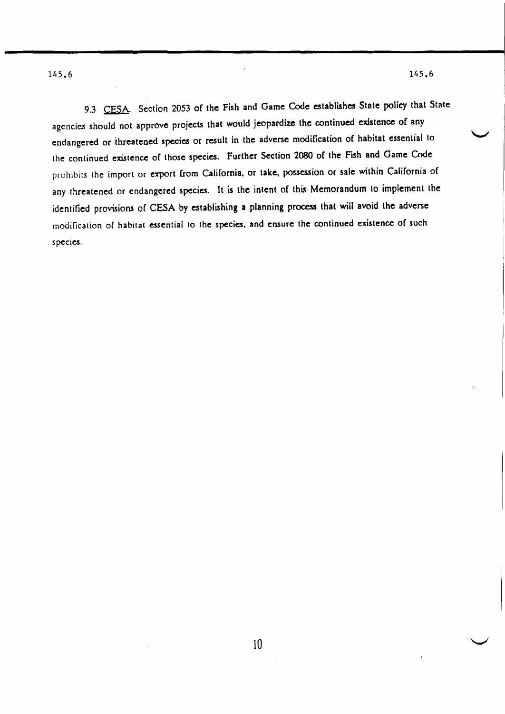9.3 CESA. Section 2053 of the Fish and Game Code establishes State policy that State agencies should not approve projects that would jeopardize the continued existence of any endangered or threatened species or result in the adverse modification of habitat essential to the continued existence of those species. Further Section 2080 of the Fish and Game Code prohibits the import or export from California, or take, possession or sale within California of any threatened or endangered species. It is the intent of this Memorandum to implement the identified provisions of CESA by establishing a planning process that will avoid the adverse modification of habitat essential to the species, and ensure the continued existence of such species.